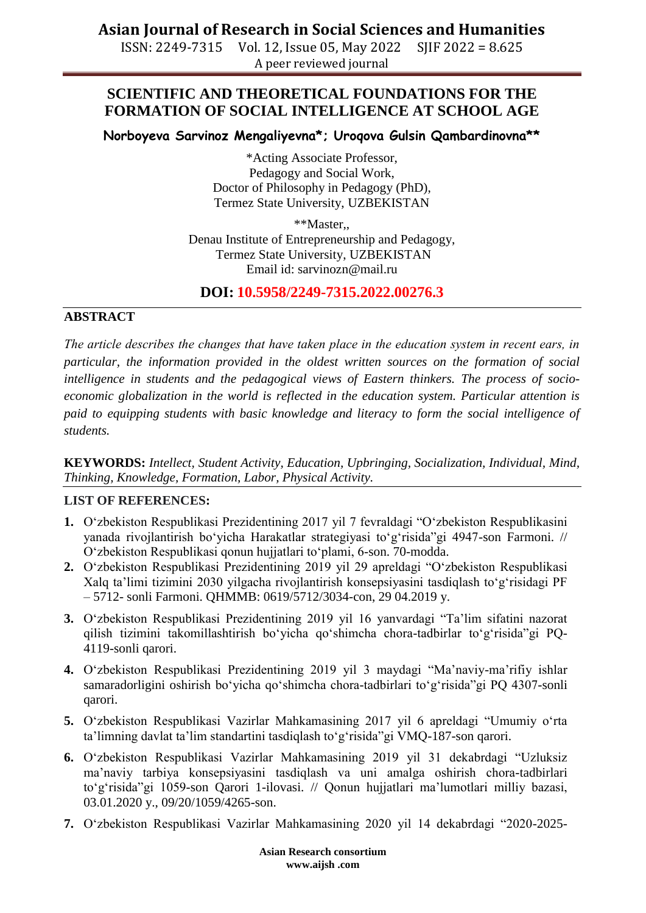# **Asian Journal of Research in Social Sciences and Humanities**

ISSN: 2249-7315 Vol. 12, Issue 05, May 2022 SJIF 2022 = 8.625 A peer reviewed journal

## **SCIENTIFIC AND THEORETICAL FOUNDATIONS FOR THE FORMATION OF SOCIAL INTELLIGENCE AT SCHOOL AGE**

**Norboyeva Sarvinoz Mengaliyevna\*; Uroqova Gulsin Qambardinovna\*\***

\*Acting Associate Professor, Pedagogy and Social Work, Doctor of Philosophy in Pedagogy (PhD), Termez State University, UZBEKISTAN

\*\*Master,, Denau Institute of Entrepreneurship and Pedagogy, Termez State University, UZBEKISTAN Email id: sarvinozn@mail.ru

### **DOI: 10.5958/2249-7315.2022.00276.3**

#### **ABSTRACT**

*The article describes the changes that have taken place in the education system in recent еars, in particular, the information provided in the oldest written sources on the formation of social intelligence in students and the pedagogical views of Eastern thinkers. The process of socioeconomic globalization in the world is reflected in the education system. Particular attention is paid to equipping students with basic knowledge and literacy to form the social intelligence of students.*

**KEYWORDS:** *Intellect, Student Activity, Education, Upbringing, Socialization, Individual, Mind, Thinking, Knowledge, Formation, Labor, Physical Activity.*

### **LIST OF REFERENCES:**

- **1.** O"zbekiston Respublikasi Prezidentining 2017 yil 7 fevraldagi "O"zbekiston Respublikasini yanada rivojlantirish bo'yicha Harakatlar strategiyasi to'g'risida"gi 4947-son Farmoni. // O"zbekiston Respublikasi qonun hujjatlari to"plami, 6-son. 70-modda.
- **2.** O"zbekiston Respublikasi Prezidentining 2019 yil 29 apreldagi "O"zbekiston Respublikasi Xalq ta'limi tizimini 2030 yilgacha rivojlantirish konsepsiyasini tasdiqlash to'g'risidagi PF – 5712- sonli Farmoni. QHMMB: 0619/5712/3034-con, 29 04.2019 y.
- **3.** O"zbekiston Respublikasi Prezidentining 2019 yil 16 yanvardagi "Ta"lim sifatini nazorat qilish tizimini takomillashtirish bo"yicha qo"shimcha chora-tadbirlar to"g"risida"gi PQ-4119-sonli qarori.
- **4.** O"zbekiston Respublikasi Prezidentining 2019 yil 3 maydagi "Ma"naviy-ma"rifiy ishlar samaradorligini oshirish bo'yicha qo'shimcha chora-tadbirlari to'g'risida"gi PQ 4307-sonli qarori.
- **5.** O"zbekiston Respublikasi Vazirlar Mahkamasining 2017 yil 6 apreldagi "Umumiy o"rta ta'limning davlat ta'lim standartini tasdiqlash to'g'risida"gi VMQ-187-son qarori.
- **6.** O"zbekiston Respublikasi Vazirlar Mahkamasining 2019 yil 31 dekabrdagi "Uzluksiz ma"naviy tarbiya konsepsiyasini tasdiqlash va uni amalga oshirish chora-tadbirlari to"g"risida"gi 1059-son Qarori 1-ilovasi. // Qonun hujjatlari ma"lumotlari milliy bazasi, 03.01.2020 y., 09/20/1059/4265-son.
- **7.** O"zbekiston Respublikasi Vazirlar Mahkamasining 2020 yil 14 dekabrdagi "2020-2025-